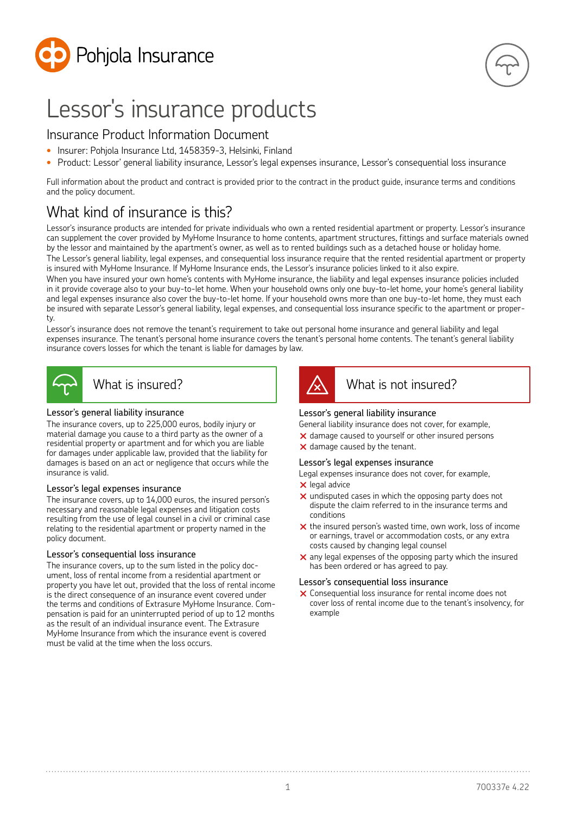

# Lessor's insurance products

## Insurance Product Information Document

- Insurer: Pohjola Insurance Ltd, 1458359-3, Helsinki, Finland
- Product: Lessor' general liability insurance, Lessor's legal expenses insurance, Lessor's consequential loss insurance

Full information about the product and contract is provided prior to the contract in the product guide, insurance terms and conditions and the policy document.

# What kind of insurance is this?

Lessor's insurance products are intended for private individuals who own a rented residential apartment or property. Lessor's insurance can supplement the cover provided by MyHome Insurance to home contents, apartment structures, fittings and surface materials owned by the lessor and maintained by the apartment's owner, as well as to rented buildings such as a detached house or holiday home.

The Lessor's general liability, legal expenses, and consequential loss insurance require that the rented residential apartment or property is insured with MyHome Insurance. If MyHome Insurance ends, the Lessor's insurance policies linked to it also expire.

When you have insured your own home's contents with MyHome insurance, the liability and legal expenses insurance policies included in it provide coverage also to your buy-to-let home. When your household owns only one buy-to-let home, your home's general liability and legal expenses insurance also cover the buy-to-let home. If your household owns more than one buy-to-let home, they must each be insured with separate Lessor's general liability, legal expenses, and consequential loss insurance specific to the apartment or property.

Lessor's insurance does not remove the tenant's requirement to take out personal home insurance and general liability and legal expenses insurance. The tenant's personal home insurance covers the tenant's personal home contents. The tenant's general liability insurance covers losses for which the tenant is liable for damages by law.



### What is insured?

#### Lessor's general liability insurance

The insurance covers, up to 225,000 euros, bodily injury or material damage you cause to a third party as the owner of a residential property or apartment and for which you are liable for damages under applicable law, provided that the liability for damages is based on an act or negligence that occurs while the insurance is valid.

#### Lessor's legal expenses insurance

The insurance covers, up to 14,000 euros, the insured person's necessary and reasonable legal expenses and litigation costs resulting from the use of legal counsel in a civil or criminal case relating to the residential apartment or property named in the policy document.

#### Lessor's consequential loss insurance

The insurance covers, up to the sum listed in the policy document, loss of rental income from a residential apartment or property you have let out, provided that the loss of rental income is the direct consequence of an insurance event covered under the terms and conditions of Extrasure MyHome Insurance. Compensation is paid for an uninterrupted period of up to 12 months as the result of an individual insurance event. The Extrasure MyHome Insurance from which the insurance event is covered must be valid at the time when the loss occurs.



# What is not insured?

#### Lessor's general liability insurance

General liability insurance does not cover, for example,

- $\times$  damage caused to yourself or other insured persons
- $\times$  damage caused by the tenant.

#### Lessor's legal expenses insurance

- Legal expenses insurance does not cover, for example,
- $\times$  legal advice
- $\times$  undisputed cases in which the opposing party does not dispute the claim referred to in the insurance terms and conditions
- $\times$  the insured person's wasted time, own work, loss of income or earnings, travel or accommodation costs, or any extra costs caused by changing legal counsel
- $\times$  any legal expenses of the opposing party which the insured has been ordered or has agreed to pay.

#### Lessor's consequential loss insurance

 $\times$  Consequential loss insurance for rental income does not cover loss of rental income due to the tenant's insolvency, for example